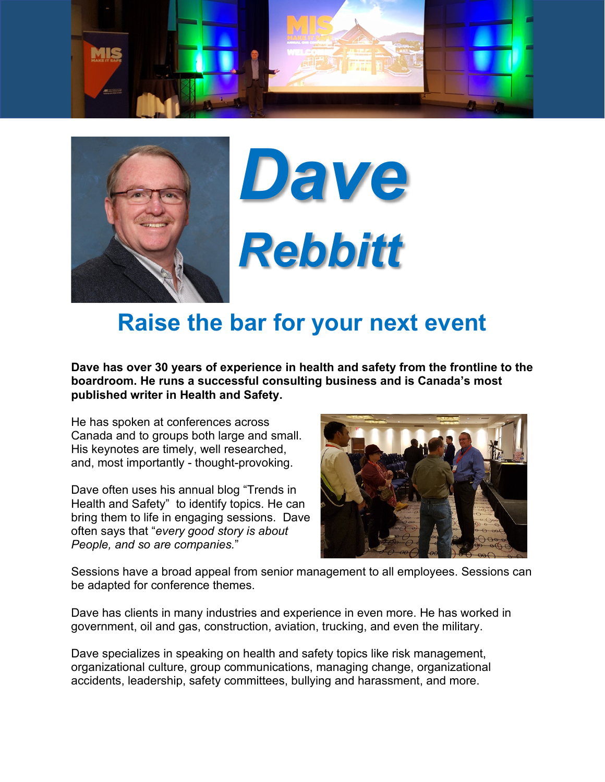





## **Raise the bar for your next event**

**Dave has over 30 years of experience in health and safety from the frontline to the boardroom. He runs a successful consulting business and is Canada's most published writer in Health and Safety.**

He has spoken at conferences across Canada and to groups both large and small. His keynotes are timely, well researched, and, most importantly - thought-provoking.

Dave often uses his annual blog "Trends in Health and Safety" to identify topics. He can bring them to life in engaging sessions. Dave often says that "*every good story is about People, and so are companies.*"



Sessions have a broad appeal from senior management to all employees. Sessions can be adapted for conference themes.

Dave has clients in many industries and experience in even more. He has worked in government, oil and gas, construction, aviation, trucking, and even the military.

Dave specializes in speaking on health and safety topics like risk management, organizational culture, group communications, managing change, organizational accidents, leadership, safety committees, bullying and harassment, and more.